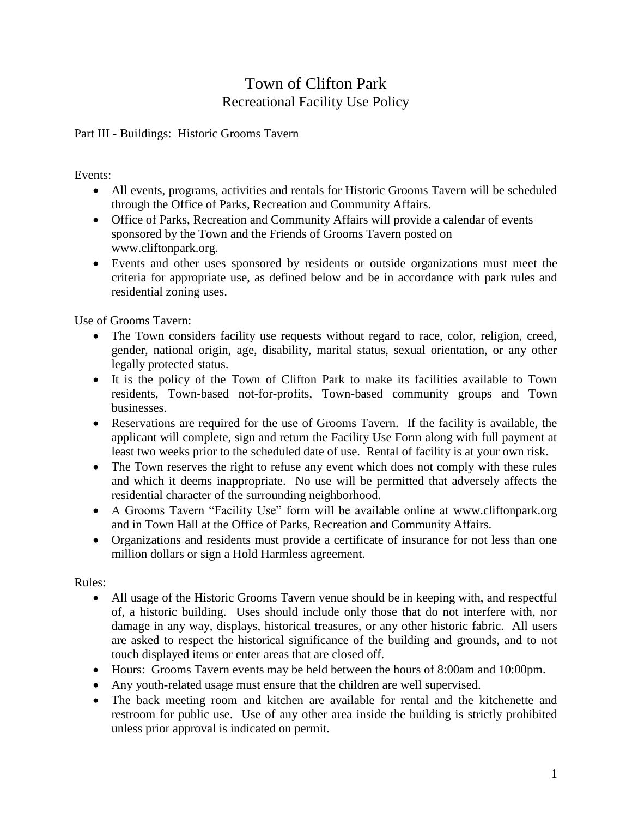## Town of Clifton Park Recreational Facility Use Policy

Part III - Buildings: Historic Grooms Tavern

Events:

- All events, programs, activities and rentals for Historic Grooms Tavern will be scheduled through the Office of Parks, Recreation and Community Affairs.
- Office of Parks, Recreation and Community Affairs will provide a calendar of events sponsored by the Town and the Friends of Grooms Tavern posted on www.cliftonpark.org.
- Events and other uses sponsored by residents or outside organizations must meet the criteria for appropriate use, as defined below and be in accordance with park rules and residential zoning uses.

Use of Grooms Tavern:

- The Town considers facility use requests without regard to race, color, religion, creed, gender, national origin, age, disability, marital status, sexual orientation, or any other legally protected status.
- It is the policy of the Town of Clifton Park to make its facilities available to Town residents, Town-based not-for-profits, Town-based community groups and Town businesses.
- Reservations are required for the use of Grooms Tavern. If the facility is available, the applicant will complete, sign and return the Facility Use Form along with full payment at least two weeks prior to the scheduled date of use. Rental of facility is at your own risk.
- The Town reserves the right to refuse any event which does not comply with these rules and which it deems inappropriate. No use will be permitted that adversely affects the residential character of the surrounding neighborhood.
- A Grooms Tavern "Facility Use" form will be available online at www.cliftonpark.org and in Town Hall at the Office of Parks, Recreation and Community Affairs.
- Organizations and residents must provide a certificate of insurance for not less than one million dollars or sign a Hold Harmless agreement.

Rules:

- All usage of the Historic Grooms Tavern venue should be in keeping with, and respectful of, a historic building. Uses should include only those that do not interfere with, nor damage in any way, displays, historical treasures, or any other historic fabric. All users are asked to respect the historical significance of the building and grounds, and to not touch displayed items or enter areas that are closed off.
- Hours: Grooms Tavern events may be held between the hours of 8:00am and 10:00pm.
- Any youth-related usage must ensure that the children are well supervised.
- The back meeting room and kitchen are available for rental and the kitchenette and restroom for public use. Use of any other area inside the building is strictly prohibited unless prior approval is indicated on permit.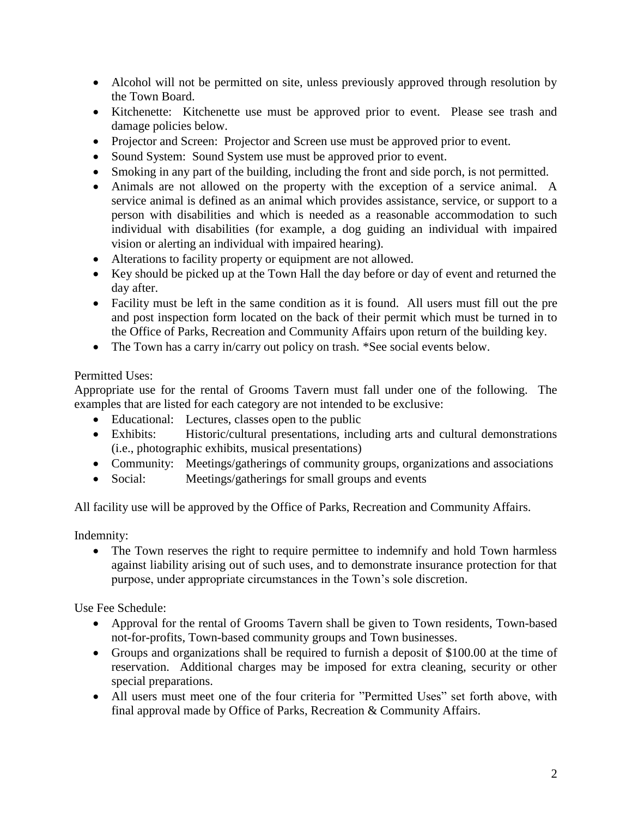- Alcohol will not be permitted on site, unless previously approved through resolution by the Town Board.
- Kitchenette: Kitchenette use must be approved prior to event. Please see trash and damage policies below.
- Projector and Screen: Projector and Screen use must be approved prior to event.
- Sound System: Sound System use must be approved prior to event.
- Smoking in any part of the building, including the front and side porch, is not permitted.
- Animals are not allowed on the property with the exception of a service animal. A service animal is defined as an animal which provides assistance, service, or support to a person with disabilities and which is needed as a reasonable accommodation to such individual with disabilities (for example, a dog guiding an individual with impaired vision or alerting an individual with impaired hearing).
- Alterations to facility property or equipment are not allowed.
- Key should be picked up at the Town Hall the day before or day of event and returned the day after.
- Facility must be left in the same condition as it is found. All users must fill out the pre and post inspection form located on the back of their permit which must be turned in to the Office of Parks, Recreation and Community Affairs upon return of the building key.
- The Town has a carry in/carry out policy on trash. \*See social events below.

## Permitted Uses:

Appropriate use for the rental of Grooms Tavern must fall under one of the following. The examples that are listed for each category are not intended to be exclusive:

- Educational: Lectures, classes open to the public
- Exhibits: Historic/cultural presentations, including arts and cultural demonstrations (i.e., photographic exhibits, musical presentations)
- Community: Meetings/gatherings of community groups, organizations and associations
- Social: Meetings/gatherings for small groups and events

All facility use will be approved by the Office of Parks, Recreation and Community Affairs.

Indemnity:

• The Town reserves the right to require permittee to indemnify and hold Town harmless against liability arising out of such uses, and to demonstrate insurance protection for that purpose, under appropriate circumstances in the Town's sole discretion.

Use Fee Schedule:

- Approval for the rental of Grooms Tavern shall be given to Town residents, Town-based not-for-profits, Town-based community groups and Town businesses.
- Groups and organizations shall be required to furnish a deposit of \$100.00 at the time of reservation. Additional charges may be imposed for extra cleaning, security or other special preparations.
- All users must meet one of the four criteria for "Permitted Uses" set forth above, with final approval made by Office of Parks, Recreation & Community Affairs.